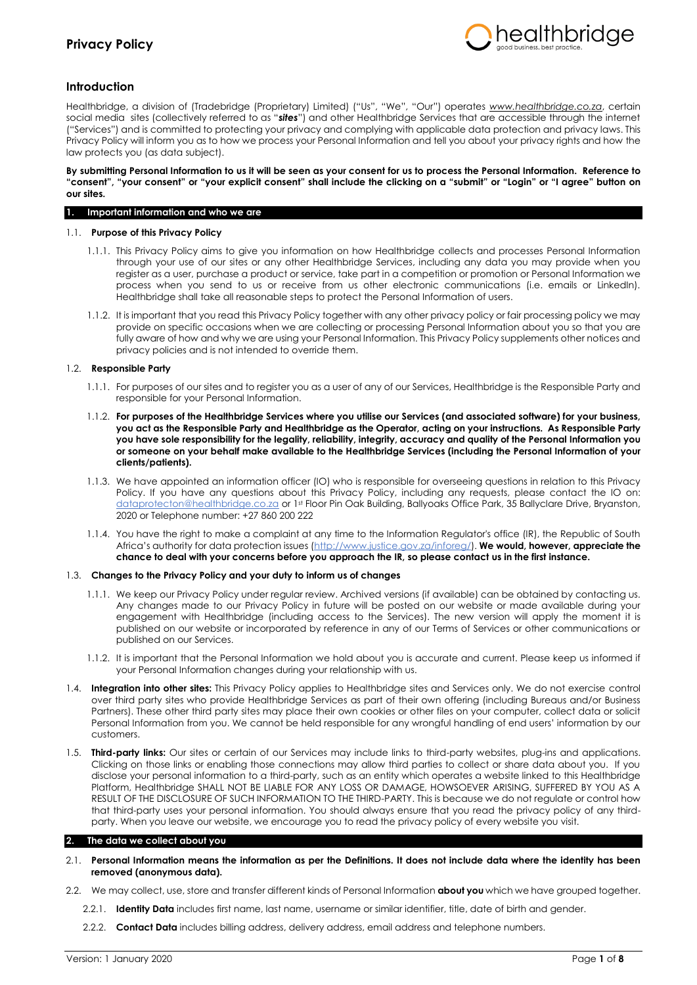

## **Introduction**

Healthbridge, a division of (Tradebridge (Proprietary) Limited) ("Us", "We", "Our") operates *[www.healthbridge.co.za](http://www.healthbridge.co.za/)*, certain social media sites (collectively referred to as "*sites*") and other Healthbridge Services that are accessible through the internet ("Services") and is committed to protecting your privacy and complying with applicable data protection and privacy laws. This Privacy Policy will inform you as to how we process your Personal Information and tell you about your privacy rights and how the law protects you (as data subject).

### **By submitting Personal Information to us it will be seen as your consent for us to process the Personal Information. Reference to "consent", "your consent" or "your explicit consent" shall include the clicking on a "submit" or "Login" or "I agree" button on our sites.**

### **1. Important information and who we are**

## 1.1. **Purpose of this Privacy Policy**

- 1.1.1. This Privacy Policy aims to give you information on how Healthbridge collects and processes Personal Information through your use of our sites or any other Healthbridge Services, including any data you may provide when you register as a user, purchase a product or service, take part in a competition or promotion or Personal Information we process when you send to us or receive from us other electronic communications (i.e. emails or LinkedIn). Healthbridge shall take all reasonable steps to protect the Personal Information of users.
- 1.1.2. It is important that you read this Privacy Policy together with any other privacy policy or fair processing policy we may provide on specific occasions when we are collecting or processing Personal Information about you so that you are fully aware of how and why we are using your Personal Information. This Privacy Policy supplements other notices and privacy policies and is not intended to override them.

### 1.2. **Responsible Party**

- 1.1.1. For purposes of our sites and to register you as a user of any of our Services, Healthbridge is the Responsible Party and responsible for your Personal Information.
- 1.1.2. **For purposes of the Healthbridge Services where you utilise our Services (and associated software) for your business, you act as the Responsible Party and Healthbridge as the Operator, acting on your instructions. As Responsible Party you have sole responsibility for the legality, reliability, integrity, accuracy and quality of the Personal Information you or someone on your behalf make available to the Healthbridge Services (including the Personal Information of your clients/patients).**
- 1.1.3. We have appointed an information officer (IO) who is responsible for overseeing questions in relation to this Privacy Policy. If you have any questions about this Privacy Policy, including any requests, please contact the IO on: [dataprotecton@healthbridge.co.za](mailto:dataprotecton@healthbridge.co.za) or 1st Floor Pin Oak Building, Ballyoaks Office Park, 35 Ballyclare Drive, Bryanston, 2020 or Telephone number: +27 860 200 222
- 1.1.4. You have the right to make a complaint at any time to the Information Regulator's office (IR), the Republic of South Africa's authority for data protection issues ([http://www.justice.gov.za/inforeg/\)](http://www.justice.gov.za/inforeg/). **We would, however, appreciate the chance to deal with your concerns before you approach the IR, so please contact us in the first instance.**

#### 1.3. **Changes to the Privacy Policy and your duty to inform us of changes**

- 1.1.1. We keep our Privacy Policy under regular review. Archived versions (if available) can be obtained by contacting us. Any changes made to our Privacy Policy in future will be posted on our website or made available during your engagement with Healthbridge (including access to the Services). The new version will apply the moment it is published on our website or incorporated by reference in any of our Terms of Services or other communications or published on our Services.
- 1.1.2. It is important that the Personal Information we hold about you is accurate and current. Please keep us informed if your Personal Information changes during your relationship with us.
- 1.4. **Integration into other sites:** This Privacy Policy applies to Healthbridge sites and Services only. We do not exercise control over third party sites who provide Healthbridge Services as part of their own offering (including Bureaus and/or Business Partners). These other third party sites may place their own cookies or other files on your computer, collect data or solicit Personal Information from you. We cannot be held responsible for any wrongful handling of end users' information by our customers.
- 1.5. **Third-party links:** Our sites or certain of our Services may include links to third-party websites, plug-ins and applications. Clicking on those links or enabling those connections may allow third parties to collect or share data about you. If you disclose your personal information to a third-party, such as an entity which operates a website linked to this Healthbridge Platform, Healthbridge SHALL NOT BE LIABLE FOR ANY LOSS OR DAMAGE, HOWSOEVER ARISING, SUFFERED BY YOU AS A RESULT OF THE DISCLOSURE OF SUCH INFORMATION TO THE THIRD-PARTY. This is because we do not regulate or control how that third-party uses your personal information. You should always ensure that you read the privacy policy of any thirdparty. When you leave our website, we encourage you to read the privacy policy of every website you visit.

## **2. The data we collect about you**

- 2.1. **Personal Information means the information as per the Definitions. It does not include data where the identity has been removed (anonymous data).**
- 2.2. We may collect, use, store and transfer different kinds of Personal Information **about you** which we have grouped together.
	- 2.2.1. **Identity Data** includes first name, last name, username or similar identifier, title, date of birth and gender.
	- 2.2.2. **Contact Data** includes billing address, delivery address, email address and telephone numbers.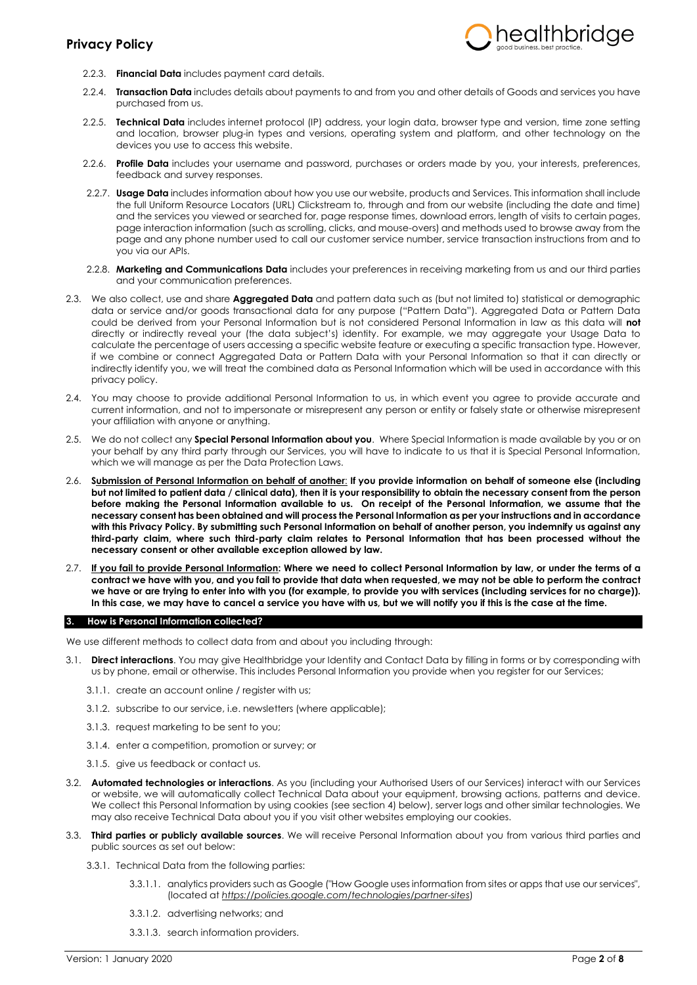

- 2.2.3. **Financial Data** includes payment card details.
- 2.2.4. **Transaction Data** includes details about payments to and from you and other details of Goods and services you have purchased from us.
- 2.2.5. **Technical Data** includes internet protocol (IP) address, your login data, browser type and version, time zone setting and location, browser plug-in types and versions, operating system and platform, and other technology on the devices you use to access this website.
- 2.2.6. **Profile Data** includes your username and password, purchases or orders made by you, your interests, preferences, feedback and survey responses.
- 2.2.7. **Usage Data** includes information about how you use our website, products and Services. This information shall include the full Uniform Resource Locators (URL) Clickstream to, through and from our website (including the date and time) and the services you viewed or searched for, page response times, download errors, length of visits to certain pages, page interaction information (such as scrolling, clicks, and mouse-overs) and methods used to browse away from the page and any phone number used to call our customer service number, service transaction instructions from and to you via our APIs.
- 2.2.8. **Marketing and Communications Data** includes your preferences in receiving marketing from us and our third parties and your communication preferences.
- 2.3. We also collect, use and share **Aggregated Data** and pattern data such as (but not limited to) statistical or demographic data or service and/or goods transactional data for any purpose ("Pattern Data"). Aggregated Data or Pattern Data could be derived from your Personal Information but is not considered Personal Information in law as this data will **not** directly or indirectly reveal your (the data subject's) identity. For example, we may aggregate your Usage Data to calculate the percentage of users accessing a specific website feature or executing a specific transaction type. However, if we combine or connect Aggregated Data or Pattern Data with your Personal Information so that it can directly or indirectly identify you, we will treat the combined data as Personal Information which will be used in accordance with this privacy policy.
- 2.4. You may choose to provide additional Personal Information to us, in which event you agree to provide accurate and current information, and not to impersonate or misrepresent any person or entity or falsely state or otherwise misrepresent your affiliation with anyone or anything.
- 2.5. We do not collect any **Special Personal Information about you**. Where Special Information is made available by you or on your behalf by any third party through our Services, you will have to indicate to us that it is Special Personal Information, which we will manage as per the Data Protection Laws.
- 2.6. **Submission of Personal Information on behalf of another**: **If you provide information on behalf of someone else (including but not limited to patient data / clinical data), then it is your responsibility to obtain the necessary consent from the person before making the Personal Information available to us. On receipt of the Personal Information, we assume that the necessary consent has been obtained and will process the Personal Information as per your instructions and in accordance with this Privacy Policy. By submitting such Personal Information on behalf of another person, you indemnify us against any third-party claim, where such third-party claim relates to Personal Information that has been processed without the necessary consent or other available exception allowed by law.**
- 2.7. **If you fail to provide Personal Information: Where we need to collect Personal Information by law, or under the terms of a contract we have with you, and you fail to provide that data when requested, we may not be able to perform the contract we have or are trying to enter into with you (for example, to provide you with services (including services for no charge)). In this case, we may have to cancel a service you have with us, but we will notify you if this is the case at the time.**

#### **3. How is Personal Information collected?**

We use different methods to collect data from and about you including through:

- 3.1. **Direct interactions**. You may give Healthbridge your Identity and Contact Data by filling in forms or by corresponding with us by phone, email or otherwise. This includes Personal Information you provide when you register for our Services;
	- 3.1.1. create an account online / register with us;
	- 3.1.2. subscribe to our service, i.e. newsletters (where applicable);
	- 3.1.3. request marketing to be sent to you;
	- 3.1.4. enter a competition, promotion or survey; or
	- 3.1.5. give us feedback or contact us.
- 3.2. **Automated technologies or interactions**. As you (including your Authorised Users of our Services) interact with our Services or website, we will automatically collect Technical Data about your equipment, browsing actions, patterns and device. We collect this Personal Information by using cookies (see section 4) below), server logs and other similar technologies. We may also receive Technical Data about you if you visit other websites employing our cookies.
- 3.3. **Third parties or publicly available sources**. We will receive Personal Information about you from various third parties and public sources as set out below:
	- 3.3.1. Technical Data from the following parties:
		- 3.3.1.1. analytics providers such as Google ("How Google uses information from sites or apps that use our services", (located at *<https://policies.google.com/technologies/partner-sites>*)
		- 3.3.1.2. advertising networks; and
		- 3.3.1.3. search information providers.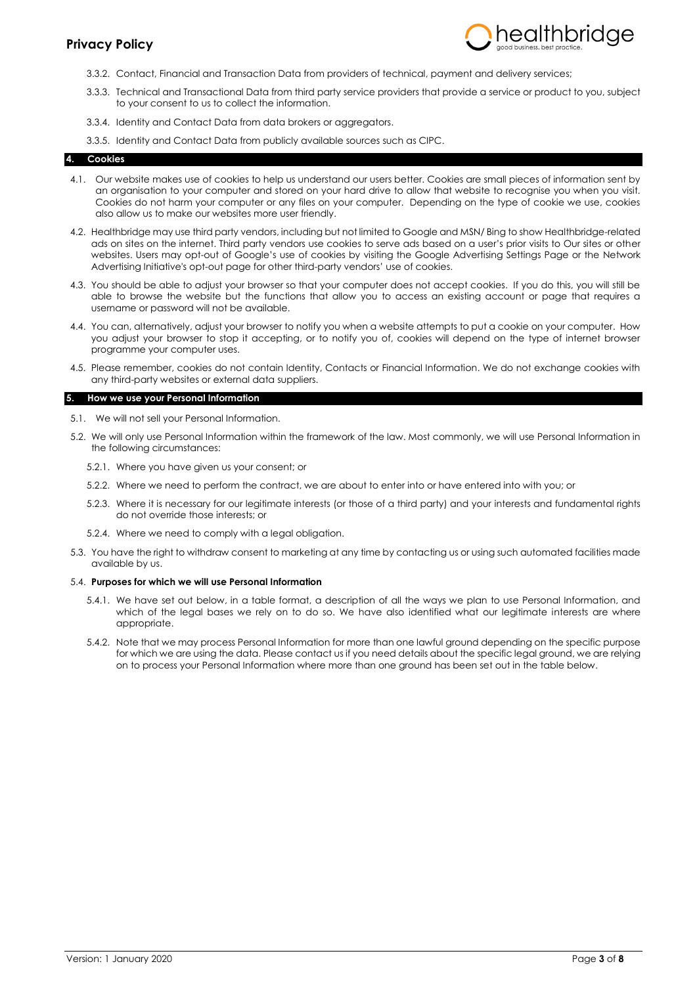

- 3.3.2. Contact, Financial and Transaction Data from providers of technical, payment and delivery services;
- 3.3.3. Technical and Transactional Data from third party service providers that provide a service or product to you, subject to your consent to us to collect the information.
- 3.3.4. Identity and Contact Data from data brokers or aggregators.
- 3.3.5. Identity and Contact Data from publicly available sources such as CIPC.

### **4. Cookies**

- 4.1. Our website makes use of cookies to help us understand our users better. Cookies are small pieces of information sent by an organisation to your computer and stored on your hard drive to allow that website to recognise you when you visit. Cookies do not harm your computer or any files on your computer. Depending on the type of cookie we use, cookies also allow us to make our websites more user friendly.
- 4.2. Healthbridge may use third party vendors, including but not limited to Google and MSN/ Bing to show Healthbridge-related ads on sites on the internet. Third party vendors use cookies to serve ads based on a user's prior visits to Our sites or other websites. Users may opt-out of Google's use of cookies by visiting the Google Advertising Settings Page or the Network Advertising Initiative's opt-out page for other third-party vendors' use of cookies.
- 4.3. You should be able to adjust your browser so that your computer does not accept cookies. If you do this, you will still be able to browse the website but the functions that allow you to access an existing account or page that requires a username or password will not be available.
- 4.4. You can, alternatively, adjust your browser to notify you when a website attempts to put a cookie on your computer. How you adjust your browser to stop it accepting, or to notify you of, cookies will depend on the type of internet browser programme your computer uses.
- 4.5. Please remember, cookies do not contain Identity, Contacts or Financial Information. We do not exchange cookies with any third-party websites or external data suppliers.

### **5. How we use your Personal Information**

- 5.1. We will not sell your Personal Information.
- 5.2. We will only use Personal Information within the framework of the law. Most commonly, we will use Personal Information in the following circumstances:
	- 5.2.1. Where you have given us your consent; or
	- 5.2.2. Where we need to perform the contract, we are about to enter into or have entered into with you; or
	- 5.2.3. Where it is necessary for our legitimate interests (or those of a third party) and your interests and fundamental rights do not override those interests; or
	- 5.2.4. Where we need to comply with a legal obligation.
- 5.3. You have the right to withdraw consent to marketing at any time by contacting us or using such automated facilities made available by us.

#### 5.4. **Purposes for which we will use Personal Information**

- 5.4.1. We have set out below, in a table format, a description of all the ways we plan to use Personal Information, and which of the legal bases we rely on to do so. We have also identified what our legitimate interests are where appropriate.
- 5.4.2. Note that we may process Personal Information for more than one lawful ground depending on the specific purpose for which we are using the data. Please contact us if you need details about the specific legal ground, we are relying on to process your Personal Information where more than one ground has been set out in the table below.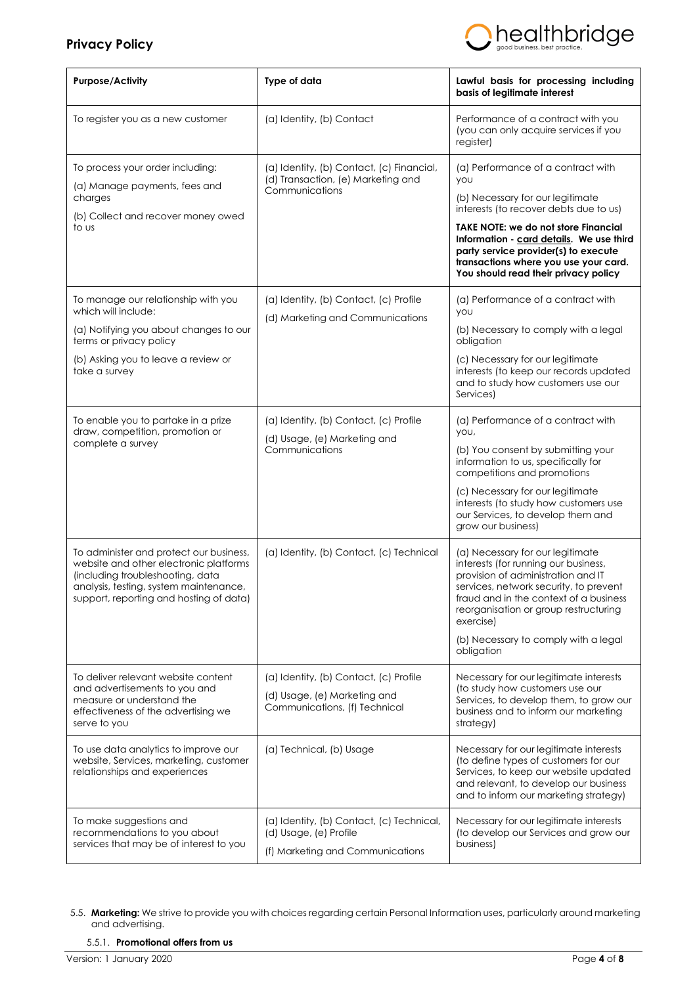

| <b>Purpose/Activity</b>                                                                                                                                                                                    | Type of data                                                                                            | Lawful basis for processing including<br>basis of legitimate interest                                                                                                                                                                                                                                                                       |
|------------------------------------------------------------------------------------------------------------------------------------------------------------------------------------------------------------|---------------------------------------------------------------------------------------------------------|---------------------------------------------------------------------------------------------------------------------------------------------------------------------------------------------------------------------------------------------------------------------------------------------------------------------------------------------|
| To register you as a new customer                                                                                                                                                                          | (a) Identity, (b) Contact                                                                               | Performance of a contract with you<br>(you can only acquire services if you<br>register)                                                                                                                                                                                                                                                    |
| To process your order including:<br>(a) Manage payments, fees and<br>charges<br>(b) Collect and recover money owed<br>to us                                                                                | (a) Identity, (b) Contact, (c) Financial,<br>(d) Transaction, (e) Marketing and<br>Communications       | (a) Performance of a contract with<br>you<br>(b) Necessary for our legitimate<br>interests (to recover debts due to us)<br><b>TAKE NOTE: we do not store Financial</b><br>Information - card details. We use third<br>party service provider(s) to execute<br>transactions where you use your card.<br>You should read their privacy policy |
| To manage our relationship with you<br>which will include:<br>(a) Notifying you about changes to our<br>terms or privacy policy<br>(b) Asking you to leave a review or<br>take a survey                    | (a) Identity, (b) Contact, (c) Profile<br>(d) Marketing and Communications                              | (a) Performance of a contract with<br><b>YOU</b><br>(b) Necessary to comply with a legal<br>obligation<br>(c) Necessary for our legitimate<br>interests (to keep our records updated<br>and to study how customers use our<br>Services)                                                                                                     |
| To enable you to partake in a prize<br>draw, competition, promotion or<br>complete a survey                                                                                                                | (a) Identity, (b) Contact, (c) Profile<br>(d) Usage, (e) Marketing and<br>Communications                | (a) Performance of a contract with<br>you,<br>(b) You consent by submitting your<br>information to us, specifically for<br>competitions and promotions<br>(c) Necessary for our legitimate<br>interests (to study how customers use<br>our Services, to develop them and<br>grow our business)                                              |
| To administer and protect our business,<br>website and other electronic platforms<br>(including troubleshooting, data<br>analysis, testing, system maintenance,<br>support, reporting and hosting of data) | (a) Identity, (b) Contact, (c) Technical                                                                | (a) Necessary for our legitimate<br>interests (for running our business,<br>provision of administration and IT<br>services, network security, to prevent<br>fraud and in the context of a business<br>reorganisation or group restructuring<br>exercise)<br>(b) Necessary to comply with a legal<br>obligation                              |
| To deliver relevant website content<br>and advertisements to you and<br>measure or understand the<br>effectiveness of the advertising we<br>serve to you                                                   | (a) Identity, (b) Contact, (c) Profile<br>(d) Usage, (e) Marketing and<br>Communications, (f) Technical | Necessary for our legitimate interests<br>(to study how customers use our<br>Services, to develop them, to grow our<br>business and to inform our marketing<br>strategy)                                                                                                                                                                    |
| To use data analytics to improve our<br>website, Services, marketing, customer<br>relationships and experiences                                                                                            | (a) Technical, (b) Usage                                                                                | Necessary for our legitimate interests<br>(to define types of customers for our<br>Services, to keep our website updated<br>and relevant, to develop our business<br>and to inform our marketing strategy)                                                                                                                                  |
| To make suggestions and<br>recommendations to you about<br>services that may be of interest to you                                                                                                         | (a) Identity, (b) Contact, (c) Technical,<br>(d) Usage, (e) Profile<br>(f) Marketing and Communications | Necessary for our legitimate interests<br>(to develop our Services and grow our<br>business)                                                                                                                                                                                                                                                |

<sup>5.5.</sup> **Marketing:** We strive to provide you with choices regarding certain Personal Information uses, particularly around marketing and advertising.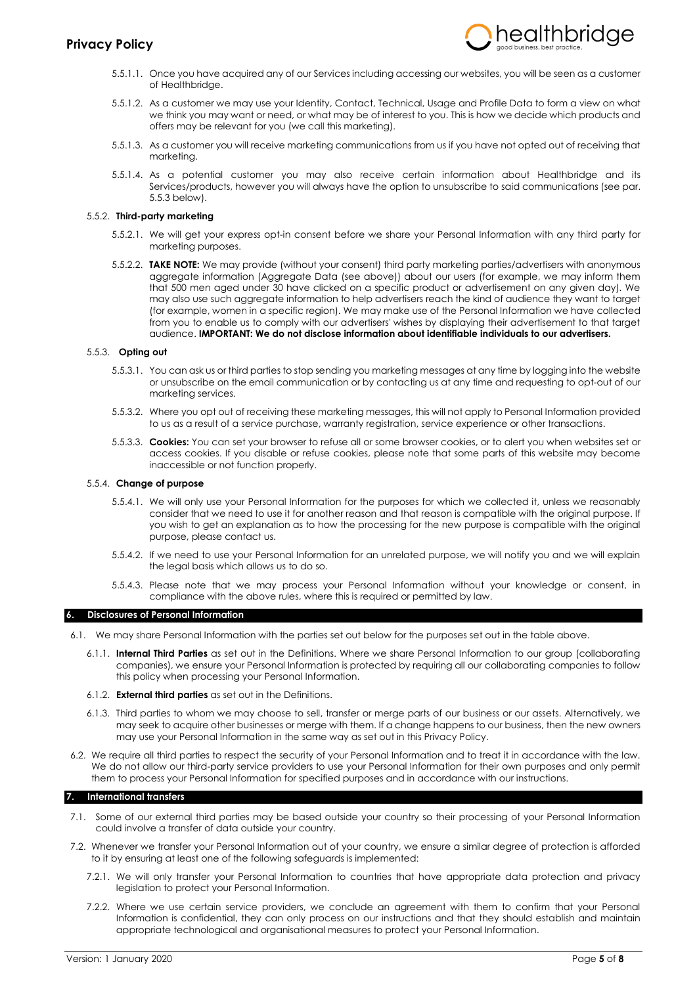

- 5.5.1.1. Once you have acquired any of our Services including accessing our websites, you will be seen as a customer of Healthbridge.
- 5.5.1.2. As a customer we may use your Identity, Contact, Technical, Usage and Profile Data to form a view on what we think you may want or need, or what may be of interest to you. This is how we decide which products and offers may be relevant for you (we call this marketing).
- 5.5.1.3. As a customer you will receive marketing communications from us if you have not opted out of receiving that marketing.
- 5.5.1.4. As a potential customer you may also receive certain information about Healthbridge and its Services/products, however you will always have the option to unsubscribe to said communications (see par. 5.5.3 below).

## 5.5.2. **Third-party marketing**

- 5.5.2.1. We will get your express opt-in consent before we share your Personal Information with any third party for marketing purposes.
- 5.5.2.2. **TAKE NOTE:** We may provide (without your consent) third party marketing parties/advertisers with anonymous aggregate information (Aggregate Data (see above)) about our users (for example, we may inform them that 500 men aged under 30 have clicked on a specific product or advertisement on any given day). We may also use such aggregate information to help advertisers reach the kind of audience they want to target (for example, women in a specific region). We may make use of the Personal Information we have collected from you to enable us to comply with our advertisers' wishes by displaying their advertisement to that target audience. **IMPORTANT: We do not disclose information about identifiable individuals to our advertisers.**

## 5.5.3. **Opting out**

- 5.5.3.1. You can ask us or third parties to stop sending you marketing messages at any time by logging into the website or unsubscribe on the email communication or by contacting us at any time and requesting to opt-out of our marketing services.
- 5.5.3.2. Where you opt out of receiving these marketing messages, this will not apply to Personal Information provided to us as a result of a service purchase, warranty registration, service experience or other transactions.
- 5.5.3.3. **Cookies:** You can set your browser to refuse all or some browser cookies, or to alert you when websites set or access cookies. If you disable or refuse cookies, please note that some parts of this website may become inaccessible or not function properly.

### 5.5.4. **Change of purpose**

- 5.5.4.1. We will only use your Personal Information for the purposes for which we collected it, unless we reasonably consider that we need to use it for another reason and that reason is compatible with the original purpose. If you wish to get an explanation as to how the processing for the new purpose is compatible with the original purpose, please contact us.
- 5.5.4.2. If we need to use your Personal Information for an unrelated purpose, we will notify you and we will explain the legal basis which allows us to do so.
- 5.5.4.3. Please note that we may process your Personal Information without your knowledge or consent, in compliance with the above rules, where this is required or permitted by law.

#### **6. Disclosures of Personal Information**

- 6.1. We may share Personal Information with the parties set out below for the purposes set out in the table above.
	- 6.1.1. **Internal Third Parties** as set out in the Definitions. Where we share Personal Information to our group (collaborating companies), we ensure your Personal Information is protected by requiring all our collaborating companies to follow this policy when processing your Personal Information.
	- 6.1.2. **External third parties** as set out in the Definitions.
	- 6.1.3. Third parties to whom we may choose to sell, transfer or merge parts of our business or our assets. Alternatively, we may seek to acquire other businesses or merge with them. If a change happens to our business, then the new owners may use your Personal Information in the same way as set out in this Privacy Policy.
- 6.2. We require all third parties to respect the security of your Personal Information and to treat it in accordance with the law. We do not allow our third-party service providers to use your Personal Information for their own purposes and only permit them to process your Personal Information for specified purposes and in accordance with our instructions.

#### **7. International transfers**

- 7.1. Some of our external third parties may be based outside your country so their processing of your Personal Information could involve a transfer of data outside your country.
- 7.2. Whenever we transfer your Personal Information out of your country, we ensure a similar degree of protection is afforded to it by ensuring at least one of the following safeguards is implemented:
	- 7.2.1. We will only transfer your Personal Information to countries that have appropriate data protection and privacy legislation to protect your Personal Information.
	- 7.2.2. Where we use certain service providers, we conclude an agreement with them to confirm that your Personal Information is confidential, they can only process on our instructions and that they should establish and maintain appropriate technological and organisational measures to protect your Personal Information.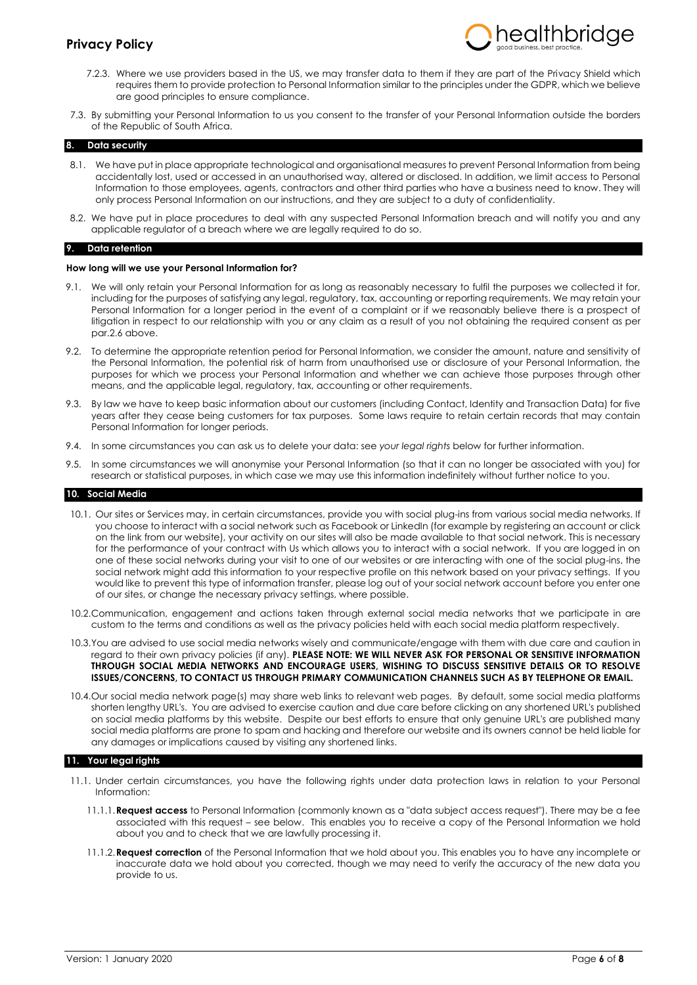

- 7.2.3. Where we use providers based in the US, we may transfer data to them if they are part of the Privacy Shield which requires them to provide protection to Personal Information similar to the principles under the GDPR, which we believe are good principles to ensure compliance.
- 7.3. By submitting your Personal Information to us you consent to the transfer of your Personal Information outside the borders of the Republic of South Africa.

#### **8. Data security**

- 8.1. We have put in place appropriate technological and organisational measures to prevent Personal Information from being accidentally lost, used or accessed in an unauthorised way, altered or disclosed. In addition, we limit access to Personal Information to those employees, agents, contractors and other third parties who have a business need to know. They will only process Personal Information on our instructions, and they are subject to a duty of confidentiality.
- 8.2. We have put in place procedures to deal with any suspected Personal Information breach and will notify you and any applicable regulator of a breach where we are legally required to do so.

#### **9. Data retention**

#### **How long will we use your Personal Information for?**

- 9.1. We will only retain your Personal Information for as long as reasonably necessary to fulfil the purposes we collected it for, including for the purposes of satisfying any legal, regulatory, tax, accounting or reporting requirements. We may retain your Personal Information for a longer period in the event of a complaint or if we reasonably believe there is a prospect of litigation in respect to our relationship with you or any claim as a result of you not obtaining the required consent as per par.2.6 above.
- 9.2. To determine the appropriate retention period for Personal Information, we consider the amount, nature and sensitivity of the Personal Information, the potential risk of harm from unauthorised use or disclosure of your Personal Information, the purposes for which we process your Personal Information and whether we can achieve those purposes through other means, and the applicable legal, regulatory, tax, accounting or other requirements.
- 9.3. By law we have to keep basic information about our customers (including Contact, Identity and Transaction Data) for five years after they cease being customers for tax purposes. Some laws require to retain certain records that may contain Personal Information for longer periods.
- 9.4. In some circumstances you can ask us to delete your data: see *your legal rights* below for further information.
- 9.5. In some circumstances we will anonymise your Personal Information (so that it can no longer be associated with you) for research or statistical purposes, in which case we may use this information indefinitely without further notice to you.

#### **10. Social Media**

- 10.1. Our sites or Services may, in certain circumstances, provide you with social plug-ins from various social media networks. If you choose to interact with a social network such as Facebook or LinkedIn (for example by registering an account or click on the link from our website), your activity on our sites will also be made available to that social network. This is necessary for the performance of your contract with Us which allows you to interact with a social network. If you are logged in on one of these social networks during your visit to one of our websites or are interacting with one of the social plug-ins, the social network might add this information to your respective profile on this network based on your privacy settings. If you would like to prevent this type of information transfer, please log out of your social network account before you enter one of our sites, or change the necessary privacy settings, where possible.
- 10.2.Communication, engagement and actions taken through external social media networks that we participate in are custom to the terms and conditions as well as the privacy policies held with each social media platform respectively.
- 10.3.You are advised to use social media networks wisely and communicate/engage with them with due care and caution in regard to their own privacy policies (if any). **PLEASE NOTE: WE WILL NEVER ASK FOR PERSONAL OR SENSITIVE INFORMATION THROUGH SOCIAL MEDIA NETWORKS AND ENCOURAGE USERS, WISHING TO DISCUSS SENSITIVE DETAILS OR TO RESOLVE ISSUES/CONCERNS, TO CONTACT US THROUGH PRIMARY COMMUNICATION CHANNELS SUCH AS BY TELEPHONE OR EMAIL.**
- 10.4.Our social media network page(s) may share web links to relevant web pages. By default, some social media platforms shorten lengthy URL's. You are advised to exercise caution and due care before clicking on any shortened URL's published on social media platforms by this website. Despite our best efforts to ensure that only genuine URL's are published many social media platforms are prone to spam and hacking and therefore our website and its owners cannot be held liable for any damages or implications caused by visiting any shortened links.

#### **11. Your legal rights**

- 11.1. Under certain circumstances, you have the following rights under data protection laws in relation to your Personal Information:
	- 11.1.1.**Request access** to Personal Information (commonly known as a "data subject access request"). There may be a fee associated with this request – see below. This enables you to receive a copy of the Personal Information we hold about you and to check that we are lawfully processing it.
	- 11.1.2.**Request correction** of the Personal Information that we hold about you. This enables you to have any incomplete or inaccurate data we hold about you corrected, though we may need to verify the accuracy of the new data you provide to us.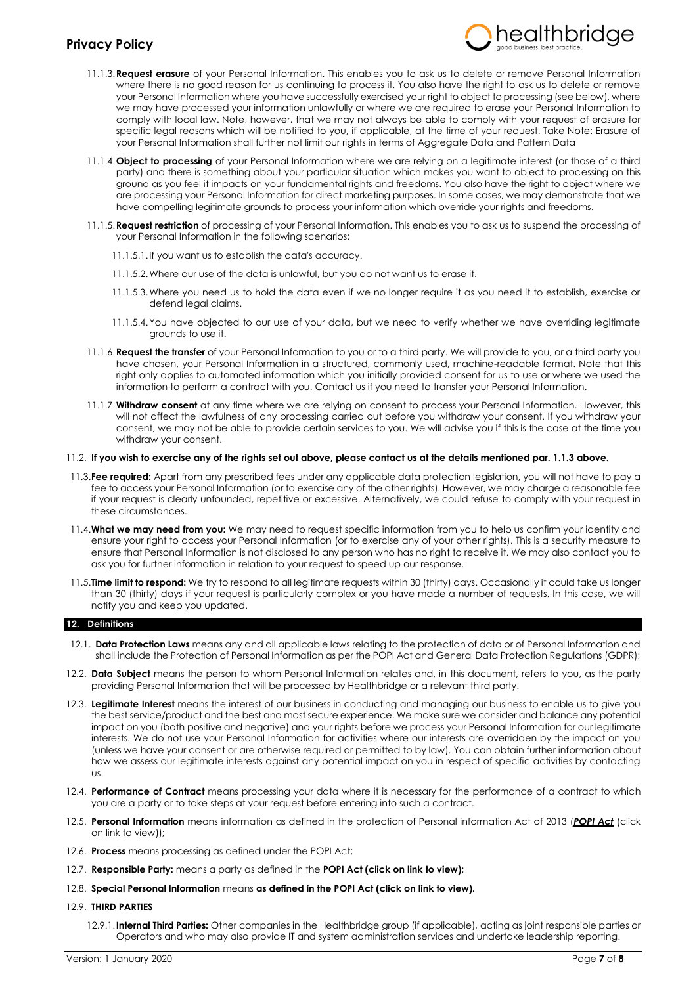

- 11.1.3.**Request erasure** of your Personal Information. This enables you to ask us to delete or remove Personal Information where there is no good reason for us continuing to process it. You also have the right to ask us to delete or remove your Personal Information where you have successfully exercised your right to object to processing (see below), where we may have processed your information unlawfully or where we are required to erase your Personal Information to comply with local law. Note, however, that we may not always be able to comply with your request of erasure for specific legal reasons which will be notified to you, if applicable, at the time of your request. Take Note: Erasure of your Personal Information shall further not limit our rights in terms of Aggregate Data and Pattern Data
- 11.1.4.**Object to processing** of your Personal Information where we are relying on a legitimate interest (or those of a third party) and there is something about your particular situation which makes you want to object to processing on this ground as you feel it impacts on your fundamental rights and freedoms. You also have the right to object where we are processing your Personal Information for direct marketing purposes. In some cases, we may demonstrate that we have compelling legitimate grounds to process your information which override your rights and freedoms.
- 11.1.5.**Request restriction** of processing of your Personal Information. This enables you to ask us to suspend the processing of your Personal Information in the following scenarios:
	- 11.1.5.1.If you want us to establish the data's accuracy.
	- 11.1.5.2.Where our use of the data is unlawful, but you do not want us to erase it.
	- 11.1.5.3.Where you need us to hold the data even if we no longer require it as you need it to establish, exercise or defend legal claims.
	- 11.1.5.4.You have objected to our use of your data, but we need to verify whether we have overriding legitimate grounds to use it.
- 11.1.6.**Request the transfer** of your Personal Information to you or to a third party. We will provide to you, or a third party you have chosen, your Personal Information in a structured, commonly used, machine-readable format. Note that this right only applies to automated information which you initially provided consent for us to use or where we used the information to perform a contract with you. Contact us if you need to transfer your Personal Information.
- 11.1.7.**Withdraw consent** at any time where we are relying on consent to process your Personal Information. However, this will not affect the lawfulness of any processing carried out before you withdraw your consent. If you withdraw your consent, we may not be able to provide certain services to you. We will advise you if this is the case at the time you withdraw your consent.

## 11.2. **If you wish to exercise any of the rights set out above, please contact us at the details mentioned par. 1.1.3 above.**

- 11.3.**Fee required:** Apart from any prescribed fees under any applicable data protection legislation, you will not have to pay a fee to access your Personal Information (or to exercise any of the other rights). However, we may charge a reasonable fee if your request is clearly unfounded, repetitive or excessive. Alternatively, we could refuse to comply with your request in these circumstances.
- 11.4.**What we may need from you:** We may need to request specific information from you to help us confirm your identity and ensure your right to access your Personal Information (or to exercise any of your other rights). This is a security measure to ensure that Personal Information is not disclosed to any person who has no right to receive it. We may also contact you to ask you for further information in relation to your request to speed up our response.
- 11.5.**Time limit to respond:** We try to respond to all legitimate requests within 30 (thirty) days. Occasionally it could take us longer than 30 (thirty) days if your request is particularly complex or you have made a number of requests. In this case, we will notify you and keep you updated.

## **12. Definitions**

- 12.1. **Data Protection Laws** means any and all applicable laws relating to the protection of data or of Personal Information and shall include the Protection of Personal Information as per the POPI Act and General Data Protection Regulations (GDPR);
- 12.2. **Data Subject** means the person to whom Personal Information relates and, in this document, refers to you, as the party providing Personal Information that will be processed by Healthbridge or a relevant third party.
- 12.3. **Legitimate Interest** means the interest of our business in conducting and managing our business to enable us to give you the best service/product and the best and most secure experience. We make sure we consider and balance any potential impact on you (both positive and negative) and your rights before we process your Personal Information for our legitimate interests. We do not use your Personal Information for activities where our interests are overridden by the impact on you (unless we have your consent or are otherwise required or permitted to by law). You can obtain further information about how we assess our legitimate interests against any potential impact on you in respect of specific activities by contacting us.
- 12.4. **Performance of Contract** means processing your data where it is necessary for the performance of a contract to which you are a party or to take steps at your request before entering into such a contract.
- 12.5. **Personal Information** means information as defined in the protection of Personal information Act of 2013 (*[POPI Act](https://www.gov.za/sites/default/files/gcis_document/201409/3706726-11act4of2013protectionofpersonalinforcorrect.pdf)* (click on link to view));
- 12.6. **Process** means processing as defined under the POPI Act;
- 12.7. **Responsible Party:** means a party as defined in the **[POPI Act](https://www.gov.za/sites/default/files/gcis_document/201409/3706726-11act4of2013protectionofpersonalinforcorrect.pdf) (click on link to view);**
- 12.8. **Special Personal Information** means **as defined in th[e POPI Act](https://www.gov.za/sites/default/files/gcis_document/201409/3706726-11act4of2013protectionofpersonalinforcorrect.pdf) (click on link to view).**
- 12.9. **THIRD PARTIES**
	- 12.9.1.**Internal Third Parties:** Other companies in the Healthbridge group (if applicable), acting as joint responsible parties or Operators and who may also provide IT and system administration services and undertake leadership reporting.